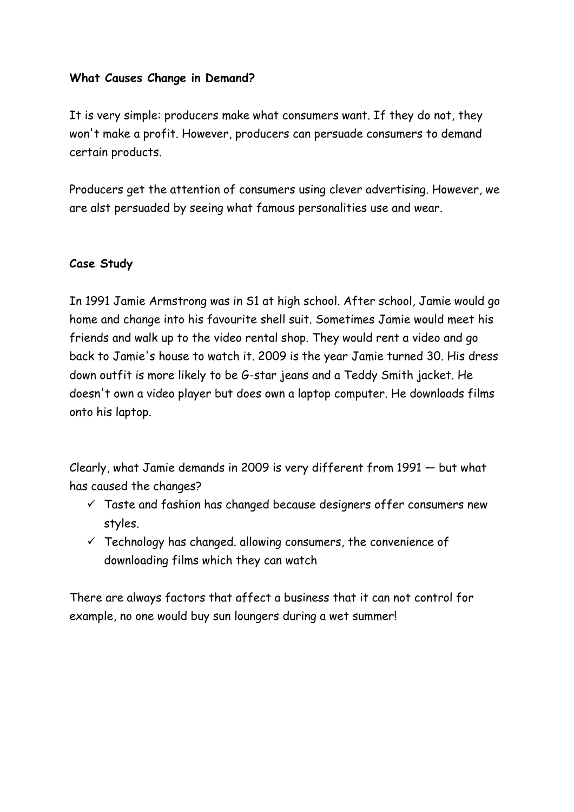#### **What Causes Change in Demand?**

It is very simple: producers make what consumers want. If they do not, they won't make a profit. However, producers can persuade consumers to demand certain products.

Producers get the attention of consumers using clever advertising. However, we are alst persuaded by seeing what famous personalities use and wear.

#### **Case Study**

In 1991 Jamie Armstrong was in S1 at high school. After school, Jamie would go home and change into his favourite shell suit. Sometimes Jamie would meet his friends and walk up to the video rental shop. They would rent a video and go back to Jamie's house to watch it. 2009 is the year Jamie turned 30. His dress down outfit is more likely to be G-star jeans and a Teddy Smith jacket. He doesn't own a video player but does own a laptop computer. He downloads films onto his laptop.

Clearly, what Jamie demands in 2009 is very different from 1991 — but what has caused the changes?

- $\checkmark$  Taste and fashion has changed because designers offer consumers new styles.
- $\checkmark$  Technology has changed. allowing consumers, the convenience of downloading films which they can watch

There are always factors that affect a business that it can not control for example, no one would buy sun loungers during a wet summer!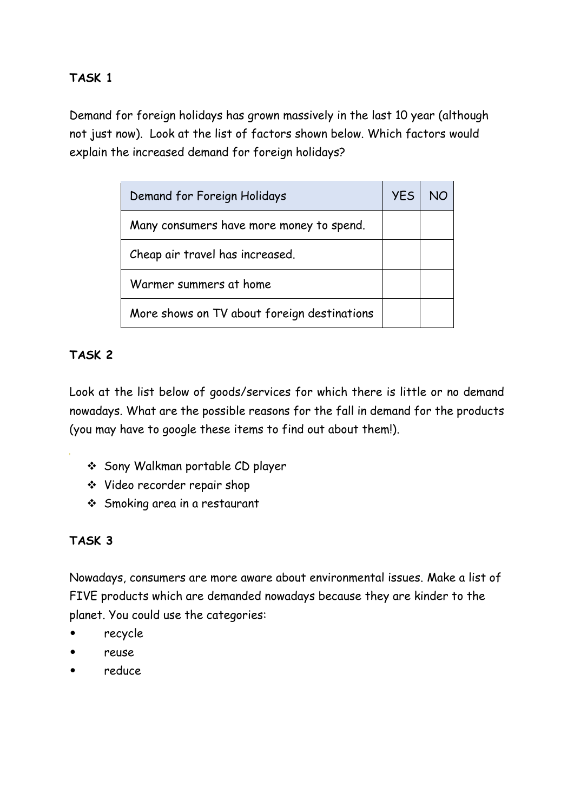# **TASK 1**

Demand for foreign holidays has grown massively in the last 10 year (although not just now). Look at the list of factors shown below. Which factors would explain the increased demand for foreign holidays?

| Demand for Foreign Holidays                 | <b>YES</b> |  |
|---------------------------------------------|------------|--|
| Many consumers have more money to spend.    |            |  |
| Cheap air travel has increased.             |            |  |
| Warmer summers at home                      |            |  |
| More shows on TV about foreign destinations |            |  |

# **TASK 2**

Look at the list below of goods/services for which there is little or no demand nowadays. What are the possible reasons for the fall in demand for the products (you may have to google these items to find out about them!).

- ❖ Sony Walkman portable CD player
- ❖ Video recorder repair shop
- ❖ Smoking area in a restaurant

# **TASK 3**

Nowadays, consumers are more aware about environmental issues. Make a list of FIVE products which are demanded nowadays because they are kinder to the planet. You could use the categories:

- recycle
- reuse
- reduce